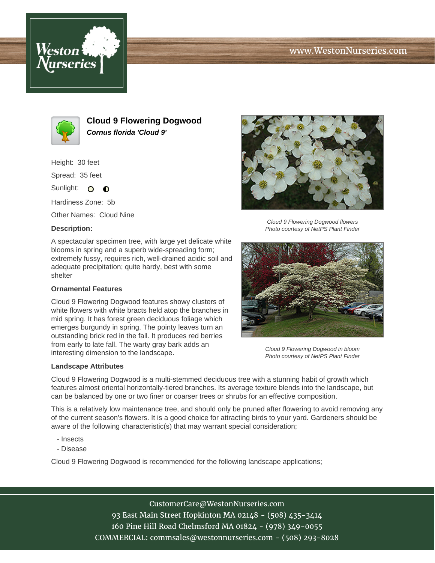





**Cloud 9 Flowering Dogwood Cornus florida 'Cloud 9'**

Height: 30 feet

Spread: 35 feet

Sunlight: O **O** 

Hardiness Zone: 5b

Other Names: Cloud Nine

## **Description:**

A spectacular specimen tree, with large yet delicate white blooms in spring and a superb wide-spreading form; extremely fussy, requires rich, well-drained acidic soil and adequate precipitation; quite hardy, best with some shelter

## **Ornamental Features**

Cloud 9 Flowering Dogwood features showy clusters of white flowers with white bracts held atop the branches in mid spring. It has forest green deciduous foliage which emerges burgundy in spring. The pointy leaves turn an outstanding brick red in the fall. It produces red berries from early to late fall. The warty gray bark adds an interesting dimension to the landscape.

## **Landscape Attributes**



Cloud 9 Flowering Dogwood flowers Photo courtesy of NetPS Plant Finder



Cloud 9 Flowering Dogwood in bloom Photo courtesy of NetPS Plant Finder

Cloud 9 Flowering Dogwood is a multi-stemmed deciduous tree with a stunning habit of growth which features almost oriental horizontally-tiered branches. Its average texture blends into the landscape, but can be balanced by one or two finer or coarser trees or shrubs for an effective composition.

This is a relatively low maintenance tree, and should only be pruned after flowering to avoid removing any of the current season's flowers. It is a good choice for attracting birds to your yard. Gardeners should be aware of the following characteristic(s) that may warrant special consideration;

- Insects
- Disease

Cloud 9 Flowering Dogwood is recommended for the following landscape applications;

CustomerCare@WestonNurseries.com 93 East Main Street Hopkinton MA 02148 - (508) 435-3414 160 Pine Hill Road Chelmsford MA 01824 - (978) 349-0055 COMMERCIAL: commsales@westonnurseries.com - (508) 293-8028